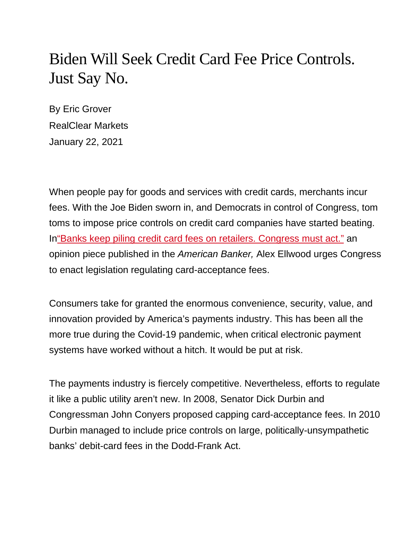## Biden Will Seek Credit Card Fee Price Controls. Just Say No.

By Eric Grover RealClear Markets January 22, 2021

When people pay for goods and services with credit cards, merchants incur fees. With the Joe Biden sworn in, and Democrats in control of Congress, tom toms to impose price controls on credit card companies have started beating. I[n"Banks keep piling credit card fees on retailers. Congress must act."](https://www.americanbanker.com/opinion/banks-keep-piling-credit-card-fees-on-retailers-congress-must-act) an opinion piece published in the *American Banker,* Alex Ellwood urges Congress to enact legislation regulating card-acceptance fees.

Consumers take for granted the enormous convenience, security, value, and innovation provided by America's payments industry. This has been all the more true during the Covid-19 pandemic, when critical electronic payment systems have worked without a hitch. It would be put at risk.

The payments industry is fiercely competitive. Nevertheless, efforts to regulate it like a public utility aren't new. In 2008, Senator Dick Durbin and Congressman John Conyers proposed capping card-acceptance fees. In 2010 Durbin managed to include price controls on large, politically-unsympathetic banks' debit-card fees in the Dodd-Frank Act.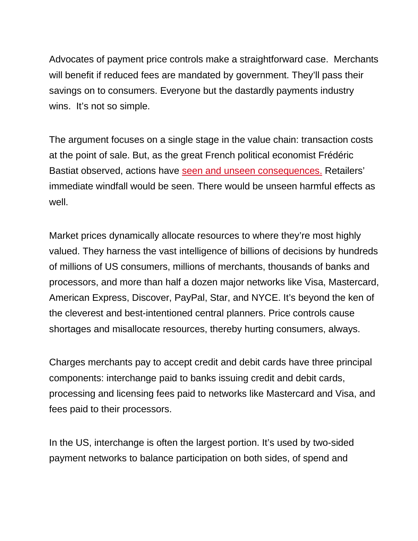Advocates of payment price controls make a straightforward case. Merchants will benefit if reduced fees are mandated by government. They'll pass their savings on to consumers. Everyone but the dastardly payments industry wins. It's not so simple.

The argument focuses on a single stage in the value chain: transaction costs at the point of sale. But, as the great French political economist Frédéric Bastiat observed, actions have [seen and unseen consequences.](http://bastiat.org/en/twisatwins.html) Retailers' immediate windfall would be seen. There would be unseen harmful effects as well.

Market prices dynamically allocate resources to where they're most highly valued. They harness the vast intelligence of billions of decisions by hundreds of millions of US consumers, millions of merchants, thousands of banks and processors, and more than half a dozen major networks like Visa, Mastercard, American Express, Discover, PayPal, Star, and NYCE. It's beyond the ken of the cleverest and best-intentioned central planners. Price controls cause shortages and misallocate resources, thereby hurting consumers, always.

Charges merchants pay to accept credit and debit cards have three principal components: interchange paid to banks issuing credit and debit cards, processing and licensing fees paid to networks like Mastercard and Visa, and fees paid to their processors.

In the US, interchange is often the largest portion. It's used by two-sided payment networks to balance participation on both sides, of spend and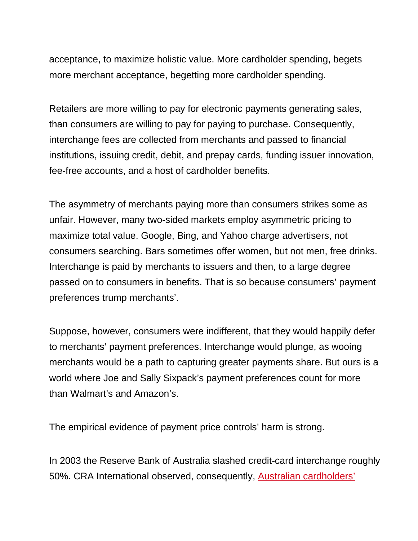acceptance, to maximize holistic value. More cardholder spending, begets more merchant acceptance, begetting more cardholder spending.

Retailers are more willing to pay for electronic payments generating sales, than consumers are willing to pay for paying to purchase. Consequently, interchange fees are collected from merchants and passed to financial institutions, issuing credit, debit, and prepay cards, funding issuer innovation, fee-free accounts, and a host of cardholder benefits.

The asymmetry of merchants paying more than consumers strikes some as unfair. However, many two-sided markets employ asymmetric pricing to maximize total value. Google, Bing, and Yahoo charge advertisers, not consumers searching. Bars sometimes offer women, but not men, free drinks. Interchange is paid by merchants to issuers and then, to a large degree passed on to consumers in benefits. That is so because consumers' payment preferences trump merchants'.

Suppose, however, consumers were indifferent, that they would happily defer to merchants' payment preferences. Interchange would plunge, as wooing merchants would be a path to capturing greater payments share. But ours is a world where Joe and Sally Sixpack's payment preferences count for more than Walmart's and Amazon's.

The empirical evidence of payment price controls' harm is strong.

In 2003 the Reserve Bank of Australia slashed credit-card interchange roughly 50%. CRA International observed, consequently, [Australian cardholders'](https://www.rba.gov.au/payments-and-infrastructure/payments-system-regulation/past-regulatory-reviews/review-of-card-payment-systems-reforms/pdf/review-0708-pre-conclusions/cra-28042008-2.pdf)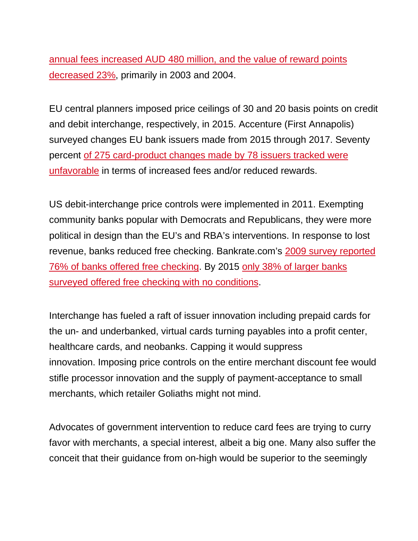[annual fees increased AUD 480 million, and the value of reward points](https://www.rba.gov.au/payments-and-infrastructure/payments-system-regulation/past-regulatory-reviews/review-of-card-payment-systems-reforms/pdf/review-0708-pre-conclusions/cra-28042008-2.pdf)  [decreased 23%,](https://www.rba.gov.au/payments-and-infrastructure/payments-system-regulation/past-regulatory-reviews/review-of-card-payment-systems-reforms/pdf/review-0708-pre-conclusions/cra-28042008-2.pdf) primarily in 2003 and 2004.

EU central planners imposed price ceilings of 30 and 20 basis points on credit and debit interchange, respectively, in 2015. Accenture (First Annapolis) surveyed changes EU bank issuers made from 2015 through 2017. Seventy percent [of 275 card-product changes made by 78 issuers tracked were](https://www.paymentscardsandmobile.com/european-payment-card-products/)  [unfavorable](https://www.paymentscardsandmobile.com/european-payment-card-products/) in terms of increased fees and/or reduced rewards.

US debit-interchange price controls were implemented in 2011. Exempting community banks popular with Democrats and Republicans, they were more political in design than the EU's and RBA's interventions. In response to lost revenue, banks reduced free checking. Bankrate.com's [2009 survey reported](https://www.bankrate.com/banking/checking/smart-banking-free-checking-not-always-free/)  [76% of banks offered free checking.](https://www.bankrate.com/banking/checking/smart-banking-free-checking-not-always-free/) By 2015 [only 38% of larger banks](https://www.bankrate.com/banking/checking/smart-banking-free-checking-not-always-free/)  [surveyed offered free checking with no conditions.](https://www.bankrate.com/banking/checking/smart-banking-free-checking-not-always-free/)

Interchange has fueled a raft of issuer innovation including prepaid cards for the un- and underbanked, virtual cards turning payables into a profit center, healthcare cards, and neobanks. Capping it would suppress innovation. Imposing price controls on the entire merchant discount fee would stifle processor innovation and the supply of payment-acceptance to small merchants, which retailer Goliaths might not mind.

Advocates of government intervention to reduce card fees are trying to curry favor with merchants, a special interest, albeit a big one. Many also suffer the conceit that their guidance from on-high would be superior to the seemingly